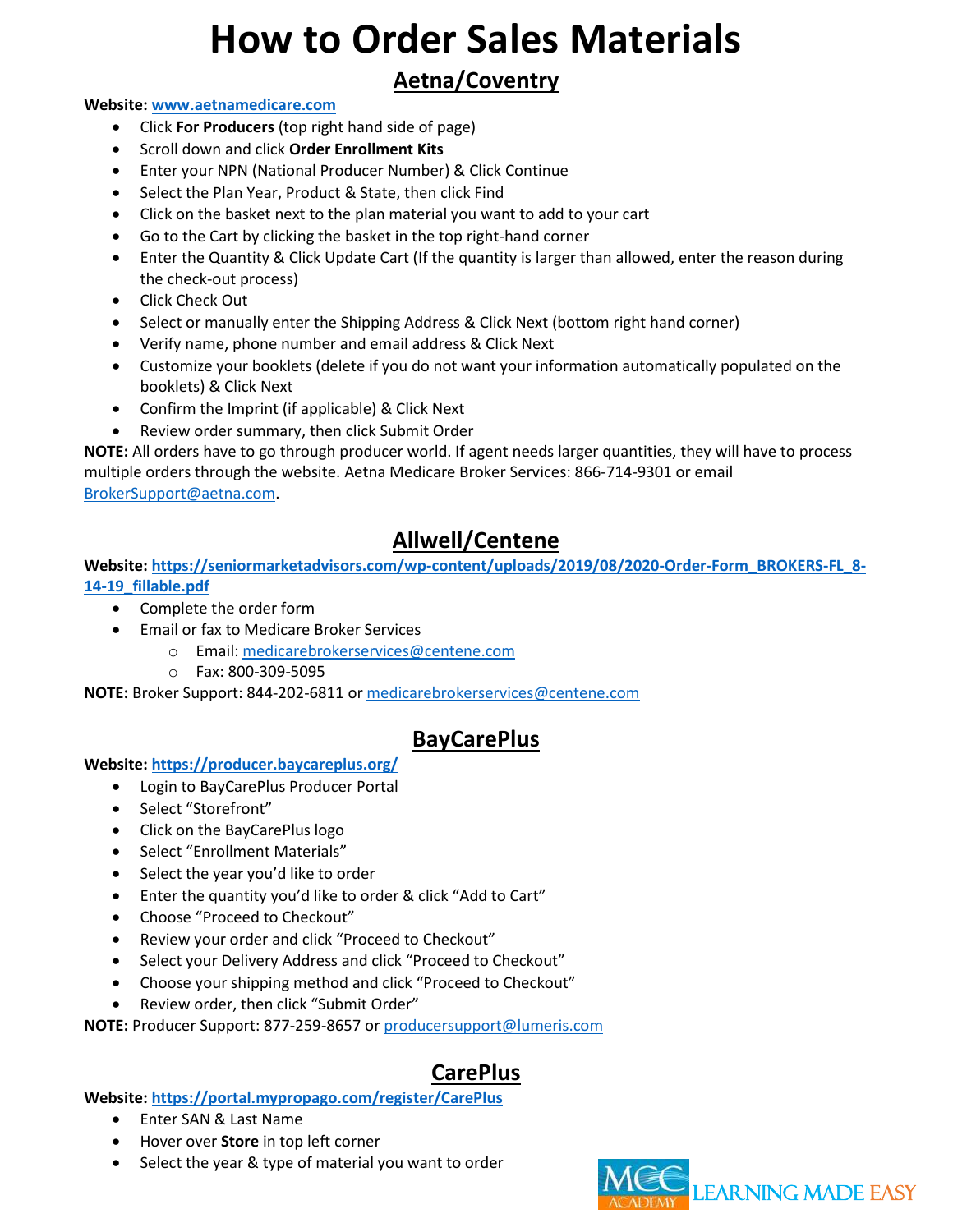## **Aetna/Coventry**

#### **Website: [www.aetnamedicare.com](http://www.aetnamedicare.com/)**

- Click **For Producers** (top right hand side of page)
- Scroll down and click **Order Enrollment Kits**
- Enter your NPN (National Producer Number) & Click Continue
- Select the Plan Year, Product & State, then click Find
- Click on the basket next to the plan material you want to add to your cart
- Go to the Cart by clicking the basket in the top right-hand corner
- Enter the Quantity & Click Update Cart (If the quantity is larger than allowed, enter the reason during the check-out process)
- Click Check Out
- Select or manually enter the Shipping Address & Click Next (bottom right hand corner)
- Verify name, phone number and email address & Click Next
- Customize your booklets (delete if you do not want your information automatically populated on the booklets) & Click Next
- Confirm the Imprint (if applicable) & Click Next
- Review order summary, then click Submit Order

**NOTE:** All orders have to go through producer world. If agent needs larger quantities, they will have to process multiple orders through the website. Aetna Medicare Broker Services: 866-714-9301 or email [BrokerSupport@aetna.com.](mailto:BrokerSupport@aetna.com)

## **Allwell/Centene**

#### **Website: [https://seniormarketadvisors.com/wp-content/uploads/2019/08/2020-Order-Form\\_BROKERS-FL\\_8-](https://seniormarketadvisors.com/wp-content/uploads/2019/08/2020-Order-Form_BROKERS-FL_8-14-19_fillable.pdf) [14-19\\_fillable.pdf](https://seniormarketadvisors.com/wp-content/uploads/2019/08/2020-Order-Form_BROKERS-FL_8-14-19_fillable.pdf)**

- Complete the order form
- Email or fax to Medicare Broker Services
	- o Email: [medicarebrokerservices@centene.com](mailto:medicarebrokerservices@centene.com)
	- o Fax: 800-309-5095

**NOTE:** Broker Support: 844-202-6811 o[r medicarebrokerservices@centene.com](mailto:medicarebrokerservices@centene.com)

## **BayCarePlus**

#### **Website:<https://producer.baycareplus.org/>**

- Login to BayCarePlus Producer Portal
- Select "Storefront"
- Click on the BayCarePlus logo
- Select "Enrollment Materials"
- Select the year you'd like to order
- Enter the quantity you'd like to order & click "Add to Cart"
- Choose "Proceed to Checkout"
- Review your order and click "Proceed to Checkout"
- Select your Delivery Address and click "Proceed to Checkout"
- Choose your shipping method and click "Proceed to Checkout"
- Review order, then click "Submit Order"

**NOTE:** Producer Support: 877-259-8657 o[r producersupport@lumeris.com](mailto:producersupport@lumeris.com)

## **CarePlus**

#### **Website:<https://portal.mypropago.com/register/CarePlus>**

- Enter SAN & Last Name
- Hover over **Store** in top left corner
- Select the year & type of material you want to order

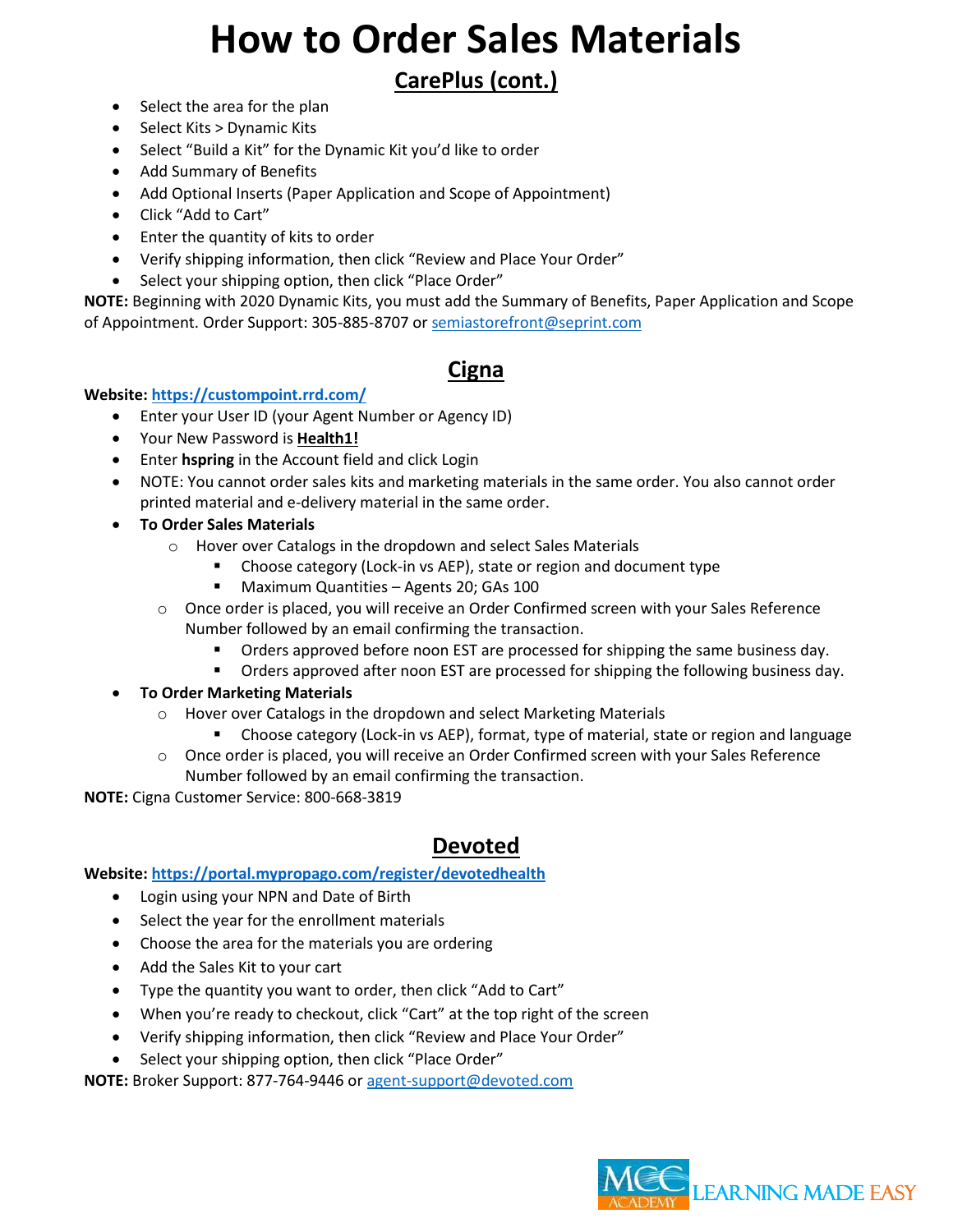## **CarePlus (cont.)**

- Select the area for the plan
- Select Kits > Dynamic Kits
- Select "Build a Kit" for the Dynamic Kit you'd like to order
- Add Summary of Benefits
- Add Optional Inserts (Paper Application and Scope of Appointment)
- Click "Add to Cart"
- Enter the quantity of kits to order
- Verify shipping information, then click "Review and Place Your Order"
- Select your shipping option, then click "Place Order"

**NOTE:** Beginning with 2020 Dynamic Kits, you must add the Summary of Benefits, Paper Application and Scope of Appointment. Order Support: 305-885-8707 or [semiastorefront@seprint.com](mailto:semiastorefront@seprint.com)

#### **Cigna**

#### **Website:<https://custompoint.rrd.com/>**

- Enter your User ID (your Agent Number or Agency ID)
- Your New Password is **Health1!**
- Enter **hspring** in the Account field and click Login
- NOTE: You cannot order sales kits and marketing materials in the same order. You also cannot order printed material and e-delivery material in the same order.
- **To Order Sales Materials**
	- o Hover over Catalogs in the dropdown and select Sales Materials
		- Choose category (Lock-in vs AEP), state or region and document type
			- Maximum Quantities Agents 20; GAs 100
	- o Once order is placed, you will receive an Order Confirmed screen with your Sales Reference Number followed by an email confirming the transaction.
		- Orders approved before noon EST are processed for shipping the same business day.
		- **•** Orders approved after noon EST are processed for shipping the following business day.
- **To Order Marketing Materials**
	- o Hover over Catalogs in the dropdown and select Marketing Materials
		- Choose category (Lock-in vs AEP), format, type of material, state or region and language
	- o Once order is placed, you will receive an Order Confirmed screen with your Sales Reference Number followed by an email confirming the transaction.

**NOTE:** Cigna Customer Service: 800-668-3819

## **Devoted**

#### **Website:<https://portal.mypropago.com/register/devotedhealth>**

- Login using your NPN and Date of Birth
- Select the year for the enrollment materials
- Choose the area for the materials you are ordering
- Add the Sales Kit to your cart
- Type the quantity you want to order, then click "Add to Cart"
- When you're ready to checkout, click "Cart" at the top right of the screen
- Verify shipping information, then click "Review and Place Your Order"
- Select your shipping option, then click "Place Order"

**NOTE:** Broker Support: 877-764-9446 o[r agent-support@devoted.com](mailto:agent-support@devoted.com)

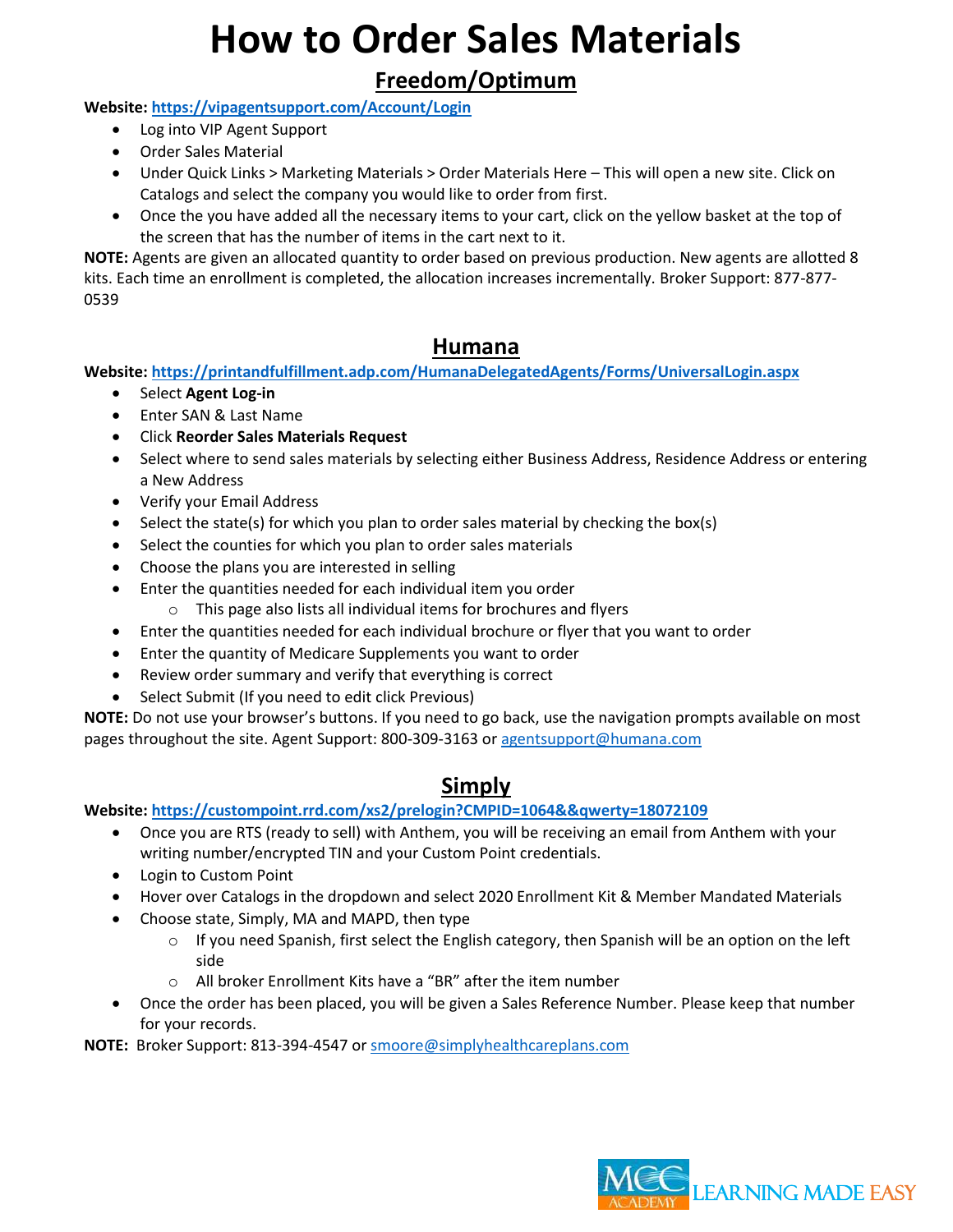## **Freedom/Optimum**

#### **Website:<https://vipagentsupport.com/Account/Login>**

- Log into VIP Agent Support
- Order Sales Material
- Under Quick Links > Marketing Materials > Order Materials Here This will open a new site. Click on Catalogs and select the company you would like to order from first.
- Once the you have added all the necessary items to your cart, click on the yellow basket at the top of the screen that has the number of items in the cart next to it.

**NOTE:** Agents are given an allocated quantity to order based on previous production. New agents are allotted 8 kits. Each time an enrollment is completed, the allocation increases incrementally. Broker Support: 877-877- 0539

#### **Humana**

**Website:<https://printandfulfillment.adp.com/HumanaDelegatedAgents/Forms/UniversalLogin.aspx>**

- Select **Agent Log-in**
- Enter SAN & Last Name
- Click **Reorder Sales Materials Request**
- Select where to send sales materials by selecting either Business Address, Residence Address or entering a New Address
- Verify your Email Address
- Select the state(s) for which you plan to order sales material by checking the box(s)
- Select the counties for which you plan to order sales materials
- Choose the plans you are interested in selling
- Enter the quantities needed for each individual item you order
	- o This page also lists all individual items for brochures and flyers
- Enter the quantities needed for each individual brochure or flyer that you want to order
- Enter the quantity of Medicare Supplements you want to order
- Review order summary and verify that everything is correct
- Select Submit (If you need to edit click Previous)

**NOTE:** Do not use your browser's buttons. If you need to go back, use the navigation prompts available on most pages throughout the site. Agent Support: 800-309-3163 or [agentsupport@humana.com](mailto:agentsupport@humana.com)

## **Simply**

**Website:<https://custompoint.rrd.com/xs2/prelogin?CMPID=1064&&qwerty=18072109>**

- Once you are RTS (ready to sell) with Anthem, you will be receiving an email from Anthem with your writing number/encrypted TIN and your Custom Point credentials.
- Login to Custom Point
- Hover over Catalogs in the dropdown and select 2020 Enrollment Kit & Member Mandated Materials
- Choose state, Simply, MA and MAPD, then type
	- $\circ$  If you need Spanish, first select the English category, then Spanish will be an option on the left side
	- o All broker Enrollment Kits have a "BR" after the item number
- Once the order has been placed, you will be given a Sales Reference Number. Please keep that number for your records.

**NOTE:** Broker Support: 813-394-4547 or [smoore@simplyhealthcareplans.com](mailto:smoore@simplyhealthcareplans.com)